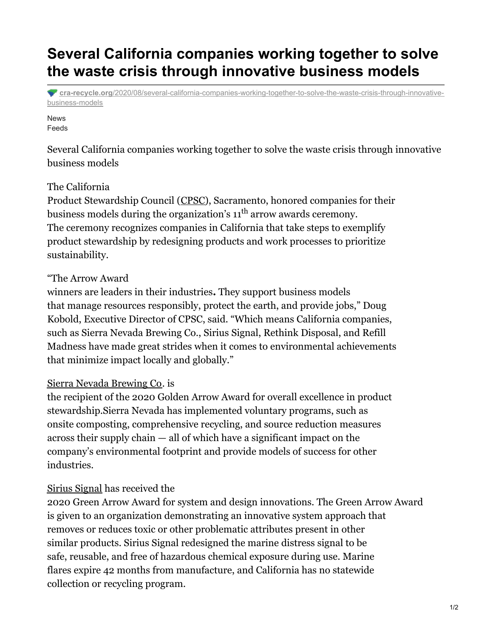# **Several California companies working together to solve the waste crisis through innovative business models**

**cra-recycle.org**[/2020/08/several-california-companies-working-together-to-solve-the-waste-crisis-through-innovative](http://www.cra-recycle.org/2020/08/several-california-companies-working-together-to-solve-the-waste-crisis-through-innovative-business-models/)business-models

#### News Feeds

Several California companies working together to solve the waste crisis through innovative business models

### The California

Product Stewardship Council [\(CPSC](https://www.calpsc.org/)), Sacramento, honored companies for their business models during the organization's  $11^{\text{th}}$  arrow awards ceremony. The ceremony recognizes companies in California that take steps to exemplify product stewardship by redesigning products and work processes to prioritize sustainability.

### "The Arrow Award

winners are leaders in their industries**.** They support business models that manage resources responsibly, protect the earth, and provide jobs," Doug Kobold, Executive Director of CPSC, said. "Which means California companies, such as Sierra Nevada Brewing Co., Sirius Signal, Rethink Disposal, and Refill Madness have made great strides when it comes to environmental achievements that minimize impact locally and globally."

### Sierra Nevada [Brewing](https://sierranevada.com/) Co. is

the recipient of the 2020 Golden Arrow Award for overall excellence in product stewardship.Sierra Nevada has implemented voluntary programs, such as onsite composting, comprehensive recycling, and source reduction measures across their supply chain — all of which have a significant impact on the company's environmental footprint and provide models of success for other industries.

### Sirius [Signal](https://siriussignal.com/) has received the

2020 Green Arrow Award for system and design innovations. The Green Arrow Award is given to an organization demonstrating an innovative system approach that removes or reduces toxic or other problematic attributes present in other similar products. Sirius Signal redesigned the marine distress signal to be safe, reusable, and free of hazardous chemical exposure during use. Marine flares expire 42 months from manufacture, and California has no statewide collection or recycling program.